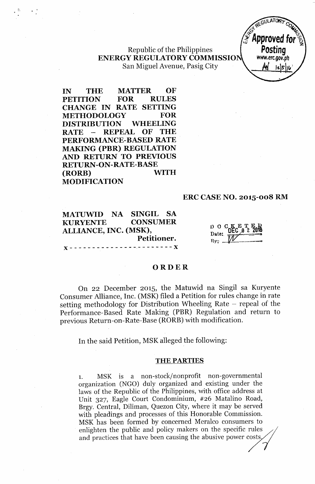Republic of the Philippines **ENERGY REGULATORY COMMISSIO** San Miguel Avenue, Pasig City



**IN THE MATTER OF PETITION FOR RULES CHANGE IN RATE SETTING METHODOLOGY FOR DISTRIBUTION WHEELING RATE ~ REPEAL OF THE PERFORMANCE-BASED RATE MAKING (PBR) REGULATION AND RETURN TO PREVIOUS RETURN-ON-RATE-BASE (RORB) WITH MODIFICATION**

t:

# **ERC CASE NO. 2015-008 RM**

**MATUWID NA SINGIL SA KURYENTE CONSUMER ALLIANCE, INC. (MSK), Petitioner.**  ${\bf x}$  - - - - - - - - - - - - - - - - - -  ${\bf x}$ 

o o c K E T E D<br>Date: 0 0 2 2016 Bv:' *~W..\_.\_\_-*

### **ORDER**

On 22 December 2015, the Matuwid na Singil sa Kuryente Consumer Alliance, Inc. (MSK) filed a Petition for rules change in rate setting methodology for Distribution Wheeling Rate - repeal of the Performance- Based Rate Making (PBR) Regulation and return to previous Return-on-Rate-Base (RORB) with modification.

**In** the said Petition, MSK alleged the following:

#### THE PARTIES

1. MSK is a non-stock/nonprofit non-governmental organization (NGO) duly organized and existing under the laws of the Republic of the Philippines, with office address at Unit 327, Eagle Court Condominium, #26 Matalino Road, Brgy. Central, Diliman, Quezon City, where it may be served with pleadings and processes of this Honorable Commission. MSK has been formed by concerned Meralco consumers to enlighten the public and policy makers on the specific rules  $\hspace{0.2cm}$ laws of the Republic of the Philippines, with office address at<br>Unit 327, Eagle Court Condominium, #26 Matalino Road,<br>Brgy. Central, Diliman, Quezon City, where it may be served<br>with pleadings and processes of this Honorab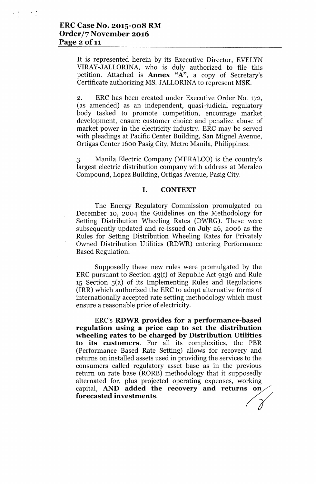It is represented herein by its Executive Director, EVELYN VIRAY-JALLORINA, who is duly authorized to file this petition. Attached is Annex *"A",* a copy of Secretary's Certificate authorizing MS. JALLORINA to represent MSK.

2. ERC has been created under Executive Order No. 172, (as amended) as an independent, quasi-judicial regulatory body tasked to promote competition, encourage market development, ensure customer choice and penalize abuse of market power in the electricity industry. ERC may be served with pleadings at Pacific Center Building, San Miguel Avenue, Ortigas Center 1600 Pasig City, Metro Manila, Philippines.

3. Manila Electric Company (MERALCO) is the country's largest electric distribution company with address at Meralco Compound, Lopez Building, Ortigas Avenue, Pasig City.

# I. CONTEXT

The Energy Regulatory Commission promulgated on December 10, 2004 the Guidelines on the Methodology for Setting Distribution Wheeling Rates (DWRG). These were subsequently updated and re-issued on July 26, 2006 as the Rules for Setting Distribution Wheeling Rates for Privately Owned Distribution Utilities (RDWR) entering Performance Based Regulation.

Supposedly these new rules were promulgated by the ERC pursuant to Section 43(f) of Republic Act 9136 and Rule  $15$  Section  $5(a)$  of its Implementing Rules and Regulations (IRR) which authorized the ERC to adopt alternative forms of internationally accepted rate setting methodology which must ensure a reasonable price of electricity.

ERC's RDWR provides for a performance-based regulation using a price cap to set the distribution wheeling rates to be charged by Distribution Utilities to its customers. For all its complexities, the PBR (Performance Based Rate Setting) allows for recovery and returns on installed assets used in providing the services to the consumers called regulatory asset base as in the previous<br>return on rate base (RORB) methodology that it supposedly<br>alternated for, plus projected operating expenses, working<br>capital, **AND added the recovery and returns on** return on rate base (RORB) methodology that it supposedly alternated for, plus projected operating expenses, working capital, AND added the recovery and returns on<br>forecasted investments.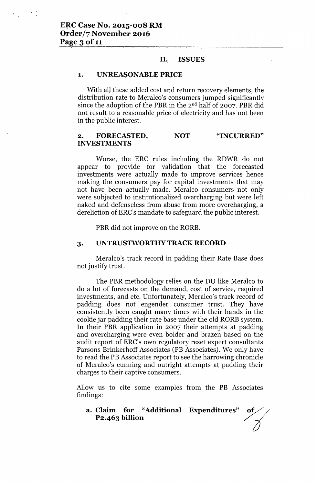## Il~ **ISSUES**

### **1. UNREASONABLE PRICE**

With all these added cost and return recovery elements, the distribution rate to Meralco's consumers jumped significantly since the adoption of the PBR in the  $2<sup>nd</sup>$  half of 2007. PBR did not result to a reasonable price of electricity and has not been in the public interest.

#### **2. FORECASTED, INVESTMENTS NOT "INCURRED"**

Worse, the ERC rules including the RDWR do not appear to provide for validation that the forecasted investments were actually made to improve services hence making the consumers pay for capital investments that may not have been actually made. Meralco consumers not only were subjected to institutionalized overcharging but were left naked and defenseless from abuse from more overcharging, a dereliction of ERC's mandate to safeguard the public interest.

PBR did not improve on the RORE.

## **3. UNTRUSTWORTHY TRACK RECORD**

Meralco's track record in padding their Rate Base does not justify trust.

The PBR methodology relies on the DU like Meralco to do a lot of forecasts on the demand, cost of service, required investments, and etc. Unfortunately, Meralco's track record of padding does not engender consumer trust. They have consistently been caught many times with their hands in the cookie jar padding their rate base under the old RORB system. In their PBR application in 2007 their attempts at padding and overcharging were even bolder and brazen based on the audit report of ERC's own regulatory reset expert consultants Parsons Brinkerhoff Associates (PB Associates). We only have to read the PB Associates report to see the harrowing chronicle of Meralco's cunning and outright attempts at padding their charges to their captive consumers.

Allow us to cite some examples from the PB Associates findings:

**a. Claim for "Additional Expenditures"** *oV/* us to cite some examples from the PB Associates<br>gs:<br>**Claim for "Additional Expenditures" of P2.463 billion**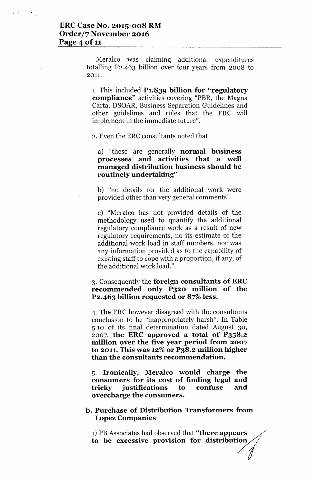Meralco was claiming additional expenditures totalling P2-463 billion over four years from 2008 to 2011.

1. This included **P1.839 billion for "regulatory compliance"** activities covering "PBR, the Magna Carta, DSOAR, Business Separation Guidelines and other guidelines and rules that the ERC will implement in the immediate future".

2. Even the ERC consultants noted that

a) "these are generally **normal business processes and activities that a well managed distribution business should be routinely undertaking"**

b) "no details for the additional work were provided other than very general comments"

c) "Meralco has not provided details of the methodology used to quantify the additional regulatory compliance work as a result of new regulatory requirements, no its estimate of the additional work load in staff numbers, nor was any information provided as to the capability of existing staff to cope with a proportion, if any, of the additional work load."

# 3. Consequently the **foreign consultants of ERC recommended only P320 million of the P2.463 billion requested or** 87% **less.**

4. The ERC however disagreed with the consultants conclusion to be "inappropriately harsh". In Table 5.10 of its final determination dated August 30, 2007, **the ERC approved a total of P3S8.2 million over the five year period from 2007 to 2011. This was 12%or P38.2 million higher than the consultants recommendation.**

5. **Ironically, Meralco would charge the consumers for its cost of finding legal and tricky justifications to confuse and overcharge the consumers.**

# **b. Purchase of Distribution Transformers from Lopez Companies**

1) PB Associates had observed that "there appears to be excessive provision for distribution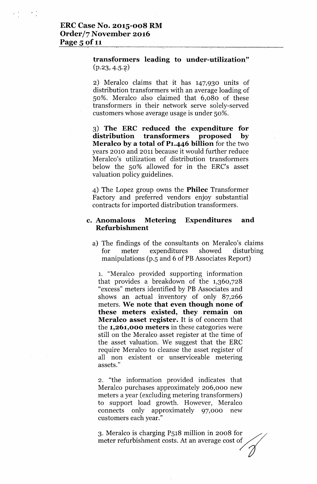# **transformers** leading **to under-utilization**"  $(p.23, 4.5.2)$

2) Meralco claims that it has 147,930 units of distribution transformers with an average loading of SO%. Meralco also claimed that 6,080 of these transformers in their network serve solely-served customers whose average usage is under SO%.

3) **The ERe reduced the expenditure for distribution transformers proposed by Meralco by a total of P1.446 billion** for the two years 2010 and 2011 because it would further reduce Meralco's utilization of distribution transformers below the so% allowed for in the ERC's asset valuation policy guidelines.

4) The Lopez group owns the **Philec** Transformer Factory and preferred vendors enjoy substantial contracts for imported distribution transformers.

# **c. Anomalous Metering Expenditures and Refurbishment**

a) The findings of the consultants on Meralco's claims for meter expenditures showed disturbing manipulations (p.5 and 6 of PB Associates Report)

1. "Meralco provided supporting information that provides a breakdown of the 1,360,728 "excess" meters identified by PB Associates and shows an actual inventory of only 87,266 meters. **We note that even though none of these meters existed, they remain on Meralco asset register.** It is of concern that the **1,261,000 meters** in these categories were still on the Meralco asset register at the time of the asset valuation. We suggest that the ERC require Meralco to cleanse the asset register of all non existent or unserviceable metering assets."

2. "the information provided indicates that Meralco purchases approximately 206,000 new meters a year (excluding metering transformers) to support load growth. However, Meralco connects only approximately 97,000 new customers each year."

3. Meralco is charging P518 million in 2008 for  $\sim$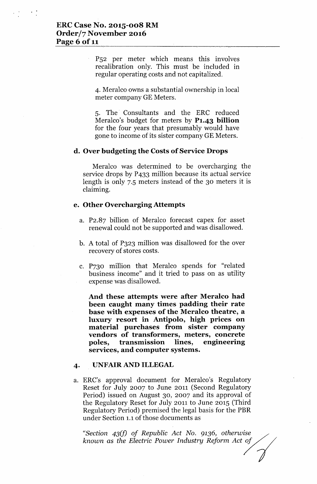P52 per meter which means this involves recalibration only. This must be included in regular operating costs and not capitalized.

4. Meralco owns a substantial ownership in local meter company GE Meters.

5. The. Consultants and the ERC reduced Meralco's budget for meters by **P1.43 billion** for the four years that presumably would have gone to income of its sister company GE Meters.

# **d. Over budgeting the Costs of Service Drops**

Meralco was determined to be overcharging the service drops by P433 million because its actual service length is only 7.5 meters instead of the 30 meters it is claiming.

## **e. Other Overcharging Attempts**

- a. P2.87 billion of Meralco forecast capex for asset renewal could not be supported and was disallowed.
- b. A total of P323 million was disallowed for the over recovery of stores costs.
- c. P730 million that Meralco spends for "related business income" and it tried to pass on as utility expense was disallowed.

**And these attempts were after Meralco had been caught many times padding their rate base with expenses of the Meralco theatre, a luxury resort in Antipolo, high prices on material purchases from sister company vendors of transformers, meters, concrete poles, transmission lines, engineering services, and computer systems.**

## **4.** UNFAIR AND **ILLEGAL**

a. ERC's approval document for Meralco's Regulatory Reset for July 2007 to June 2011 (Second Regulatory Period) issued on August 30, 2007 and its approval of the Regulatory Reset for July 2011 to June 2015 (Third Regulatory Period) premised the legal basis for the PBR under Section 1.1of those documents as

*"Section 43(fJ of Republic Act No.* 9136, *otherwise known* as *the Electric Power Industry Reform Act ~*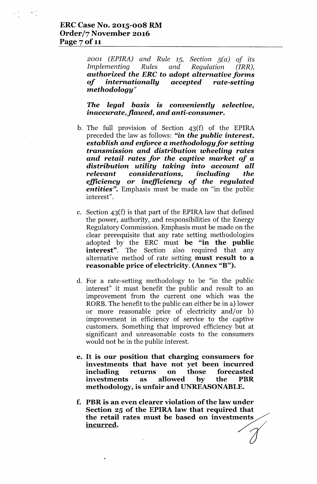*2001 (EPIRA) and Rule* 15, *Section* 5(a) *of its Implementing Rules and Regulation (IRR), authorized the ERe* to *adopt alternative forms of internationally accepted rate-setting methodology"*

*The legal basis* is *conveniently selective, inaccurate,jlawed, and anti-consumer.*

- b. The full provision of Section 43(f) of the EPIRA preceded the law as follows: *"in the public interest, establish and enforce a methodology for setting transmission and distribution wheeling rates and retail rates for the captive market of a distribution utility taking into account all relevant considerations, including the efficiency or inefficiency of the regulated entities".* Emphasis must be made on "in the public interest".
- c. Section 43(f) is that part of the EPIRA law that defined the power, authority, and responsibilities of the Energy Regulatory Commission. Emphasis must be made on the clear prerequisite that any rate setting methodologies adopted by the ERC must be "in the public **interest**". The Section also required that any alternative method of rate setting must result to a reasonable price of electricity. (Annex "B").
- d. For a rate-setting methodology to be "in the public interest" it must benefit the public and result to an improvement from the current one which was the RORB.The benefit to the public can either be in a) lower or more reasonable price of electricity and/or b) improvement in efficiency of service to the captive customers. Something that improved efficiency but at significant and unreasonable costs to the consumers would not be in the public interest.
- e. It is our position that charging consumers for investments that have not yet been incurred including returns on those forecasted investments as allowed by the PBR methodology, is unfair and UNREASONABLE.
- f. PBR is an even clearer violation of the law under Section 25 of the EPIRA law that required that section 25 of the ETIKA law that required that<br>the retail rates must be based on investments<br><u>incurred</u>.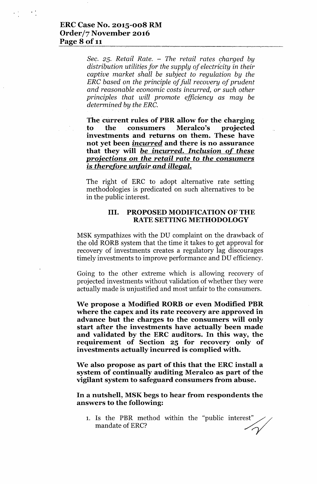*Sec.* 25. *Retail Rate.* – *The retail rates charged by distribution utilities for the supply of electricity* in *their captive market shall be subject to regulation by the ERC based on the principle of full recovery of prudent and reasonable economic costs incurred,* or *such other principles that will promote efficiency* as *may be determined by the ERC. '*

**The current rules of PBR allow for the charging** ,to the consumers **Meralco's projected investments and returns on them. These have not yet been incurred and there is no assurance that they will** *be* **incurred.** *Inclusion* **of** *these projections* **on** *the retail rate* **to** *the consumers* **is** *therefore unfair and illegal.*

The right of ERC to adopt alternative rate setting methodologies is predicated on such alternatives to be in the public interest.

# **III. PROPOSED MODIFICATION OF THE RATE SETTING METHODOLOGY**

MSK sympathizes with the DU complaint on the drawback of the old RORB system that the time it takes to get approval for recovery of investments creates a regulatory lag discourages timely investments to improve performance and DU efficiency.

Going to the other extreme which is allowing recovery of projected investments without validation of whether they were actually made is unjustified and most unfair to the consumers.

**We propose a Modified RORBor even Modified PBR where the capex and its rate recovery are approved in advance but the charges to the consumers will only start after the investments have actually been made and validated by the ERC auditors. In this way, the requirement of Section 25 for recovery only of investments actually incurred is complied with.**

**We also propose as part of this that the ERCinstall a system of continually auditing Meralco as part of the vigilant system to safeguard consumers from abuse.**

**In a nutshell, MSKbegs to hear from respondents the answers to the following:**

1. Is the PBR method within the "public interest"  $\diagup$ ers to the following:<br>Is the PBR method within the "public interest"<br>mandate of ERC?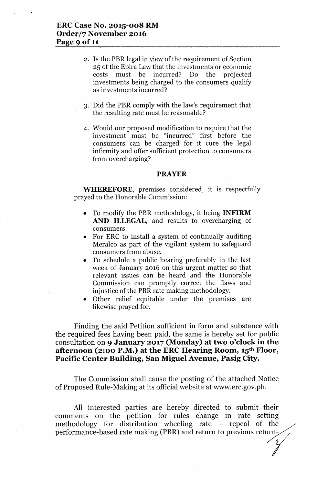- 4. Is the PBR legal in view of the requirement of Section 25 of the Epira Law that the investments or economic costs must be incurred? Do the projected investments being charged to the consumers qualify as investments incurred?
- 3. Did the PBR comply with the law's requirement that the resulting rate must be reasonable?
- 4. Would our proposed modification to require that the investment must be "incurred" first before the consumers can be charged for it cure the legal infirmity and offer sufficient protection to consumers from overcharging?

#### **PRAYER**

**WHEREFORE**, premises considered, it is respectfully prayed to the Honorable Commission:

- To modify the PBR methodology, it being **INFIRM AND ILLEGAL,** and results to overcharging of consumers.
- For ERC to install a system of continually auditing Meralco as part of the vigilant system to safeguard consumers from abuse.
- To schedule a public hearing preferably in the last week of January 2016 on this urgent matter so that relevant issues can be heard and the Honorable Commission can promptly correct the flaws and injustice of the PBR rate making methodology.
- Other relief equitable under the premises are likewise prayed for.

Finding the said Petition sufficient in form and substance with the required fees having been paid, the same is hereby set for public consultation on **9 January 2017 (Monday) at two o'clock in the afternoon (2:00 P.M.) at the ERC Hearing Room, 15th Floor, Pacific Center Building, San Miguel Avenue, Pasig City.**

The Commission shall cause the posting of the attached Notice of Proposed Rule-Making at its official website at [www.erc.gov.ph.](http://www.erc.gov.ph.)

All interested parties are hereby directed to submit their  $\begin{array}{rcl}\n\text{comments} & \text{on} & \text{the} & \text{petition} & \text{for} & \text{rules} & \text{change} & \text{in} & \text{rate} & \text{setting} \\
\text{methodology} & \text{for} & \text{distribution} & \text{wheeling} & \text{rate} & - & \text{repeat} & \text{of} & \text{the} \\
\end{array}$ methodology for distribution wheeling rate – repeal of the performance-based rate making (PBR) and return to previous return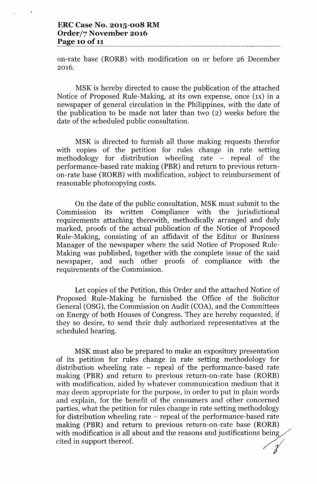on-rate base (RORB) with modification on or before 26 December 2016.

MSK is hereby directed to cause the publication of the attached Notice of Proposed Rule-Making, at its own expense, once (IX) in a newspaper of general circulation in the Philippines, with the date of the publication to be made not later than two (2) weeks before the date of the scheduled public consultation.

MSK is directed to furnish all those making requests therefor with copies of the petition for rules change in rate setting methodology for distribution wheeling rate – repeal of the performance-based rate making (PBR) and return to previous returnon-rate base (RORE) with modification, subject to reimbursement of reasonable photocopying costs.

On the date of the public consultation, MSK must submit to the Commission its written Compliance with the jurisdictional requirements attaching therewith, methodically arranged and duly marked, proofs of the actual publication of the Notice of Proposed Rule- Making, consisting of an affidavit of the Editor or Business Manager of the newspaper where the said Notice of Proposed Rule-Making was published, together with the complete issue of the said newspaper, and such other proofs of compliance with the requirements of the Commission.

Let copies of the Petition, this Order and the attached Notice of Proposed Rule-Making be furnished the Office of the Solicitor General (OSG), the Commission on Audit (COA), and the Committees on Energy of both Houses of Congress. They are hereby requested, if they so desire, to send their duly authorized representatives at the scheduled hearing.

MSK must also be prepared to make an expository presentation of its petition for rules change in rate setting methodology for distribution wheeling rate - repeal of the performance-based rate making (PBR) and return to previous return-on-rate base (RORB) with modification, aided by whatever communication medium that it may deem appropriate for the purpose, in order to put in plain words and explain, for the benefit of the consumers and other concerned parties, what the petition for rules change in rate setting methodology for distribution wheeling rate – repeal of the performance-based rate making (PBR) and return to previous return-on-rate base (RORB) with modification is all about and the reasons and justifications being cited in support thereof.